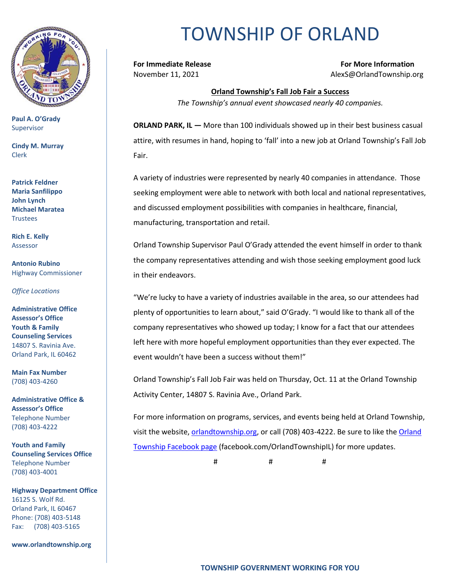

**Paul A. O'Grady** Supervisor

**Cindy M. Murray** Clerk

**Patrick Feldner Maria Sanfilippo John Lynch Michael Maratea Trustees** 

**Rich E. Kelly** Assessor

**Antonio Rubino** Highway Commissioner

*Office Locations*

**Administrative Office Assessor's Office Youth & Family Counseling Services** 14807 S. Ravinia Ave. Orland Park, IL 60462

**Main Fax Number**  (708) 403-4260

**Administrative Office & Assessor's Office**  Telephone Number (708) 403-4222

**Youth and Family Counseling Services Office**  Telephone Number (708) 403-4001

**Highway Department Office** 16125 S. Wolf Rd. Orland Park, IL 60467 Phone: (708) 403-5148 Fax: (708) 403-5165

**www.orlandtownship.org**

## TOWNSHIP OF ORLAND

**For Immediate Release For More Information** November 11, 2021 AlexS@OrlandTownship.org

> **Orland Township's Fall Job Fair a Success** *The Township's annual event showcased nearly 40 companies.*

**ORLAND PARK, IL —** More than 100 individuals showed up in their best business casual attire, with resumes in hand, hoping to 'fall' into a new job at Orland Township's Fall Job Fair.

A variety of industries were represented by nearly 40 companies in attendance. Those seeking employment were able to network with both local and national representatives, and discussed employment possibilities with companies in healthcare, financial, manufacturing, transportation and retail.

Orland Township Supervisor Paul O'Grady attended the event himself in order to thank the company representatives attending and wish those seeking employment good luck in their endeavors.

"We're lucky to have a variety of industries available in the area, so our attendees had plenty of opportunities to learn about," said O'Grady. "I would like to thank all of the company representatives who showed up today; I know for a fact that our attendees left here with more hopeful employment opportunities than they ever expected. The event wouldn't have been a success without them!"

Orland Township's Fall Job Fair was held on Thursday, Oct. 11 at the Orland Township Activity Center, 14807 S. Ravinia Ave., Orland Park.

For more information on programs, services, and events being held at Orland Township, visit the website, [orlandtownship.org,](http://www.orlandtownship.org/) or call (708) 403-4222. Be sure to like the [Orland](https://www.facebook.com/OrlandTownshipIL/)  [Township Facebook page](https://www.facebook.com/OrlandTownshipIL/) (facebook.com/OrlandTownshipIL) for more updates.

# # #